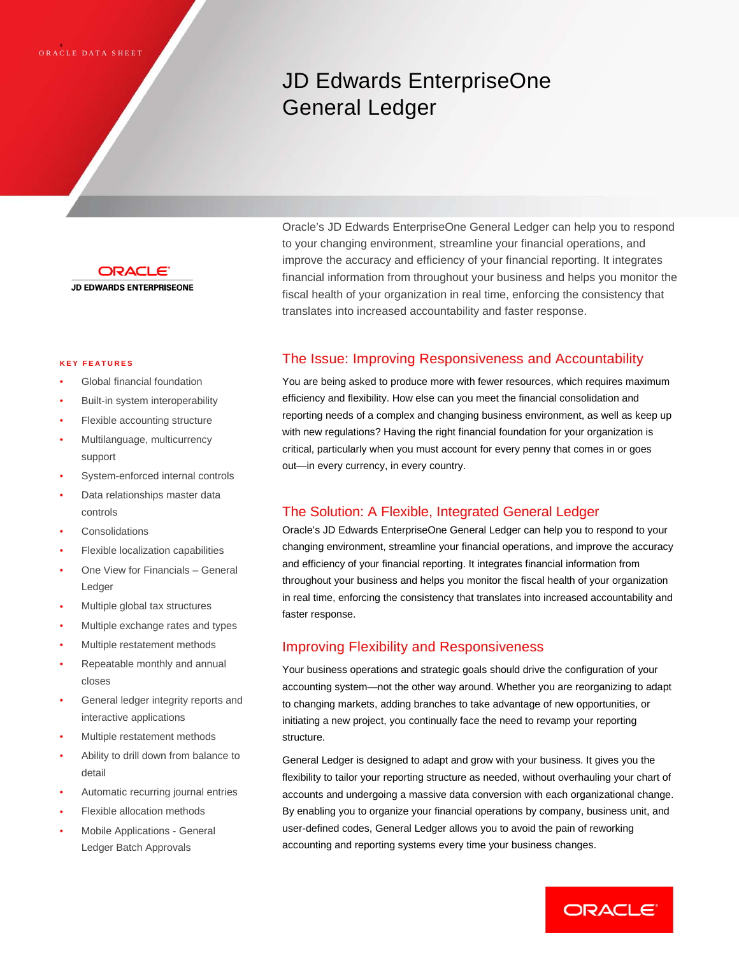# JD Edwards EnterpriseOne General Ledger



**KEY FEATURES**

- Global financial foundation
- Built-in system interoperability
- Flexible accounting structure
- Multilanguage, multicurrency support
- System-enforced internal controls
- Data relationships master data controls
- **Consolidations**
- Flexible localization capabilities
- One View for Financials General Ledger
- Multiple global tax structures
- Multiple exchange rates and types
- Multiple restatement methods
- Repeatable monthly and annual closes
- General ledger integrity reports and interactive applications
- Multiple restatement methods
- Ability to drill down from balance to detail
- Automatic recurring journal entries
- Flexible allocation methods
- Mobile Applications General Ledger Batch Approvals

Oracle's JD Edwards EnterpriseOne General Ledger can help you to respond to your changing environment, streamline your financial operations, and improve the accuracy and efficiency of your financial reporting. It integrates financial information from throughout your business and helps you monitor the fiscal health of your organization in real time, enforcing the consistency that translates into increased accountability and faster response.

# The Issue: Improving Responsiveness and Accountability

You are being asked to produce more with fewer resources, which requires maximum efficiency and flexibility. How else can you meet the financial consolidation and reporting needs of a complex and changing business environment, as well as keep up with new regulations? Having the right financial foundation for your organization is critical, particularly when you must account for every penny that comes in or goes out—in every currency, in every country.

# The Solution: A Flexible, Integrated General Ledger

Oracle's JD Edwards EnterpriseOne General Ledger can help you to respond to your changing environment, streamline your financial operations, and improve the accuracy and efficiency of your financial reporting. It integrates financial information from throughout your business and helps you monitor the fiscal health of your organization in real time, enforcing the consistency that translates into increased accountability and faster response.

# Improving Flexibility and Responsiveness

Your business operations and strategic goals should drive the configuration of your accounting system—not the other way around. Whether you are reorganizing to adapt to changing markets, adding branches to take advantage of new opportunities, or initiating a new project, you continually face the need to revamp your reporting structure.

General Ledger is designed to adapt and grow with your business. It gives you the flexibility to tailor your reporting structure as needed, without overhauling your chart of accounts and undergoing a massive data conversion with each organizational change. By enabling you to organize your financial operations by company, business unit, and user-defined codes, General Ledger allows you to avoid the pain of reworking accounting and reporting systems every time your business changes.

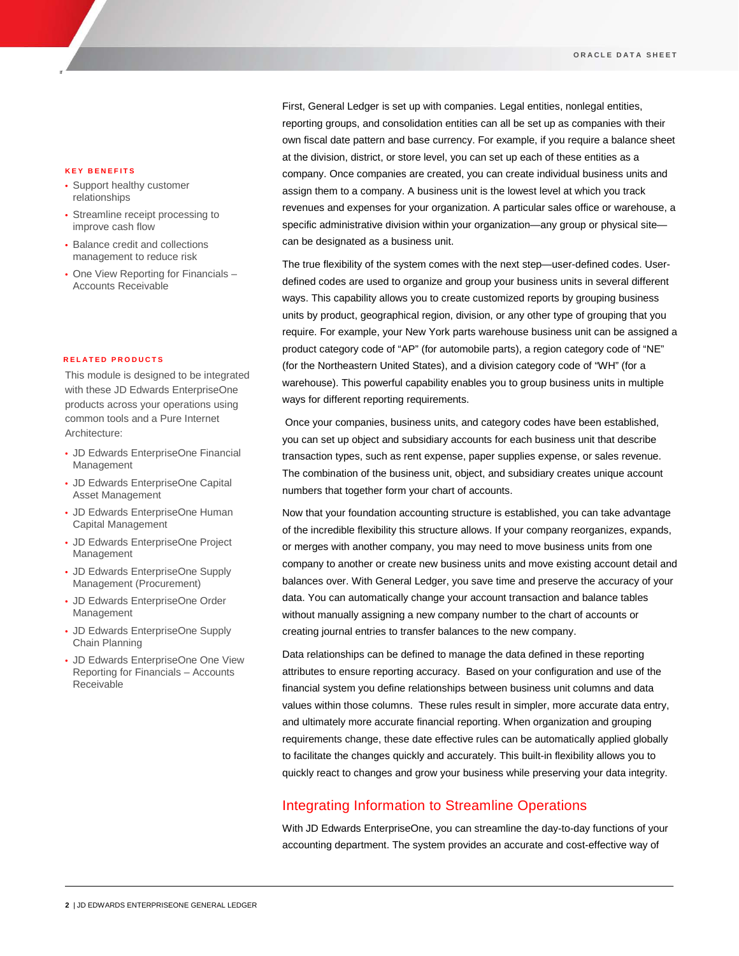**KEY BENEFITS**

If

- Support healthy customer relationships
- Streamline receipt processing to improve cash flow
- Balance credit and collections management to reduce risk
- One View Reporting for Financials -Accounts Receivable

#### **R ELATED PRODUCTS**

This module is designed to be integrated with these JD Edwards EnterpriseOne products across your operations using common tools and a Pure Internet Architecture:

- JD Edwards EnterpriseOne Financial Management
- JD Edwards EnterpriseOne Capital Asset Management
- JD Edwards EnterpriseOne Human Capital Management
- JD Edwards EnterpriseOne Project Management
- JD Edwards EnterpriseOne Supply Management (Procurement)
- JD Edwards EnterpriseOne Order Management
- JD Edwards EnterpriseOne Supply Chain Planning
- JD Edwards EnterpriseOne One View Reporting for Financials – Accounts Receivable

First, General Ledger is set up with companies. Legal entities, nonlegal entities, reporting groups, and consolidation entities can all be set up as companies with their own fiscal date pattern and base currency. For example, if you require a balance sheet at the division, district, or store level, you can set up each of these entities as a company. Once companies are created, you can create individual business units and assign them to a company. A business unit is the lowest level at which you track revenues and expenses for your organization. A particular sales office or warehouse, a specific administrative division within your organization—any group or physical site can be designated as a business unit.

The true flexibility of the system comes with the next step—user-defined codes. Userdefined codes are used to organize and group your business units in several different ways. This capability allows you to create customized reports by grouping business units by product, geographical region, division, or any other type of grouping that you require. For example, your New York parts warehouse business unit can be assigned a product category code of "AP" (for automobile parts), a region category code of "NE" (for the Northeastern United States), and a division category code of "WH" (for a warehouse). This powerful capability enables you to group business units in multiple ways for different reporting requirements.

Once your companies, business units, and category codes have been established, you can set up object and subsidiary accounts for each business unit that describe transaction types, such as rent expense, paper supplies expense, or sales revenue. The combination of the business unit, object, and subsidiary creates unique account numbers that together form your chart of accounts.

Now that your foundation accounting structure is established, you can take advantage of the incredible flexibility this structure allows. If your company reorganizes, expands, or merges with another company, you may need to move business units from one company to another or create new business units and move existing account detail and balances over. With General Ledger, you save time and preserve the accuracy of your data. You can automatically change your account transaction and balance tables without manually assigning a new company number to the chart of accounts or creating journal entries to transfer balances to the new company.

Data relationships can be defined to manage the data defined in these reporting attributes to ensure reporting accuracy. Based on your configuration and use of the financial system you define relationships between business unit columns and data values within those columns. These rules result in simpler, more accurate data entry, and ultimately more accurate financial reporting. When organization and grouping requirements change, these date effective rules can be automatically applied globally to facilitate the changes quickly and accurately. This built-in flexibility allows you to quickly react to changes and grow your business while preserving your data integrity.

## Integrating Information to Streamline Operations

With JD Edwards EnterpriseOne, you can streamline the day-to-day functions of your accounting department. The system provides an accurate and cost-effective way of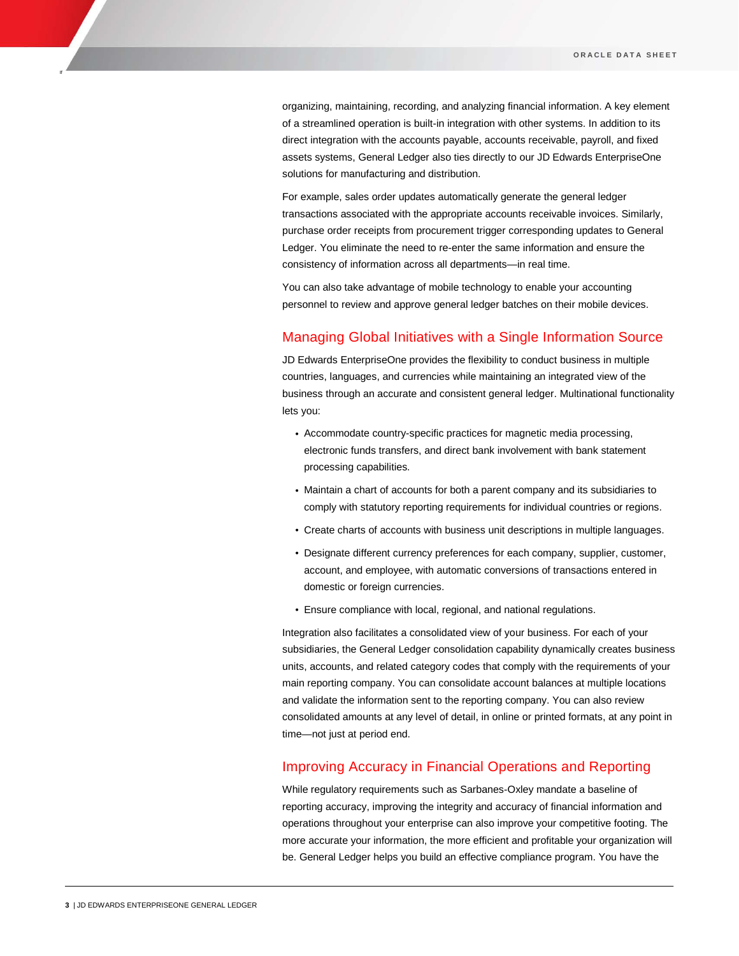organizing, maintaining, recording, and analyzing financial information. A key element of a streamlined operation is built-in integration with other systems. In addition to its direct integration with the accounts payable, accounts receivable, payroll, and fixed assets systems, General Ledger also ties directly to our JD Edwards EnterpriseOne solutions for manufacturing and distribution.

For example, sales order updates automatically generate the general ledger transactions associated with the appropriate accounts receivable invoices. Similarly, purchase order receipts from procurement trigger corresponding updates to General Ledger. You eliminate the need to re-enter the same information and ensure the consistency of information across all departments—in real time.

You can also take advantage of mobile technology to enable your accounting personnel to review and approve general ledger batches on their mobile devices.

## Managing Global Initiatives with a Single Information Source

JD Edwards EnterpriseOne provides the flexibility to conduct business in multiple countries, languages, and currencies while maintaining an integrated view of the business through an accurate and consistent general ledger. Multinational functionality lets you:

- Accommodate country-specific practices for magnetic media processing, electronic funds transfers, and direct bank involvement with bank statement processing capabilities.
- Maintain a chart of accounts for both a parent company and its subsidiaries to comply with statutory reporting requirements for individual countries or regions.
- Create charts of accounts with business unit descriptions in multiple languages.
- Designate different currency preferences for each company, supplier, customer, account, and employee, with automatic conversions of transactions entered in domestic or foreign currencies.
- Ensure compliance with local, regional, and national regulations.

Integration also facilitates a consolidated view of your business. For each of your subsidiaries, the General Ledger consolidation capability dynamically creates business units, accounts, and related category codes that comply with the requirements of your main reporting company. You can consolidate account balances at multiple locations and validate the information sent to the reporting company. You can also review consolidated amounts at any level of detail, in online or printed formats, at any point in time—not just at period end.

### Improving Accuracy in Financial Operations and Reporting

While regulatory requirements such as Sarbanes-Oxley mandate a baseline of reporting accuracy, improving the integrity and accuracy of financial information and operations throughout your enterprise can also improve your competitive footing. The more accurate your information, the more efficient and profitable your organization will be. General Ledger helps you build an effective compliance program. You have the

If